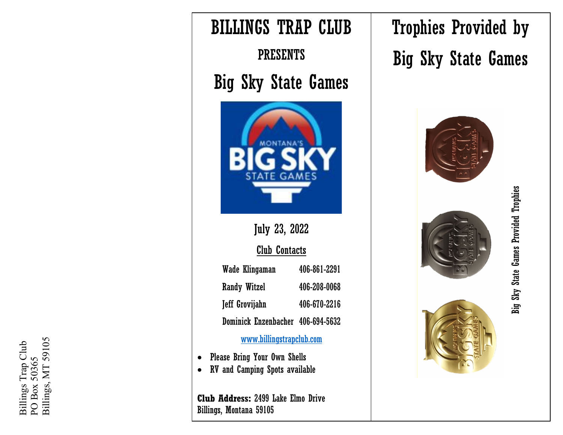



Trophies Provided by Big Sky State Games





Big Sky State Games Provided Trophies Big Sky State Games Provided Trophies